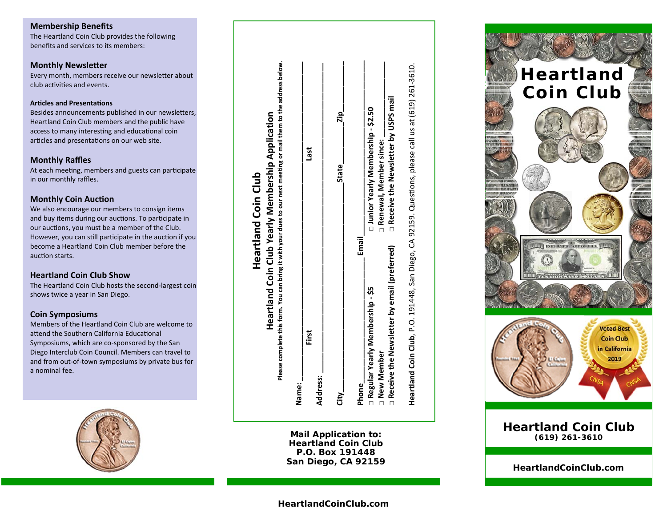#### **Membership Benefits**

The Heartland Coin Club provides the following benefits and services to its members:

#### **Monthly Newsletter**

Every month, members receive our newsletter about club activities and events.

#### **Articles and Presentations**

Besides announcements published in our newsletters, Heartland Coin Club members and the public have access to many interesting and educational coin articles and presentations on our web site.

#### **Monthly Raffles**

At each meeting, members and guests can participate in our monthly raffles.

#### **Monthly Coin Auction**

We also encourage our members to consign items and buy items during our auctions. To participate in our auctions, you must be a member of the Club. However, you can still participate in the auction if you become a Heartland Coin Club member before the auction starts.

#### **Heartland Coin Club Show**

The Heartland Coin Club hosts the second-largest coin shows twice a year in San Diego.

#### **Coin Symposiums**

Members of the Heartland Coin Club are welcome to attend the Southern California Educational Symposiums, which are co-sponsored by the San Diego Interclub Coin Council. Members can travel to and from out-of-town symposiums by private bus for a nominal fee.



**Mail Application to: Heartland Coin Club P.O. Box 191448 San Diego, CA 92159** 



**HeartlandCoinClub.com**